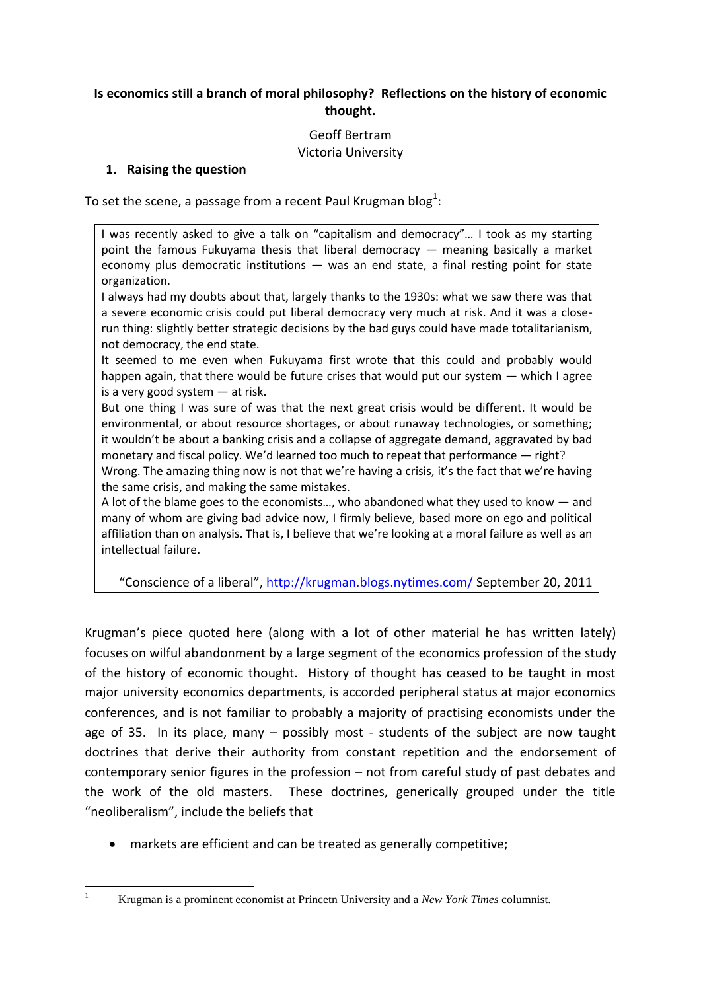## **Is economics still a branch of moral philosophy? Reflections on the history of economic thought.**

# Geoff Bertram Victoria University

### **1. Raising the question**

To set the scene, a passage from a recent Paul Krugman blog $^1$ :

I was recently asked to give a talk on "capitalism and democracy"… I took as my starting point the famous Fukuyama thesis that liberal democracy — meaning basically a market economy plus democratic institutions  $-$  was an end state, a final resting point for state organization.

I always had my doubts about that, largely thanks to the 1930s: what we saw there was that a severe economic crisis could put liberal democracy very much at risk. And it was a closerun thing: slightly better strategic decisions by the bad guys could have made totalitarianism, not democracy, the end state.

It seemed to me even when Fukuyama first wrote that this could and probably would happen again, that there would be future crises that would put our system — which I agree is a very good system — at risk.

But one thing I was sure of was that the next great crisis would be different. It would be environmental, or about resource shortages, or about runaway technologies, or something; it wouldn't be about a banking crisis and a collapse of aggregate demand, aggravated by bad monetary and fiscal policy. We'd learned too much to repeat that performance — right?

Wrong. The amazing thing now is not that we're having a crisis, it's the fact that we're having the same crisis, and making the same mistakes.

A lot of the blame goes to the economists…, who abandoned what they used to know — and many of whom are giving bad advice now, I firmly believe, based more on ego and political affiliation than on analysis. That is, I believe that we're looking at a moral failure as well as an intellectual failure.

"Conscience of a liberal", <http://krugman.blogs.nytimes.com/> September 20, 2011

Krugman's piece quoted here (along with a lot of other material he has written lately) focuses on wilful abandonment by a large segment of the economics profession of the study of the history of economic thought. History of thought has ceased to be taught in most major university economics departments, is accorded peripheral status at major economics conferences, and is not familiar to probably a majority of practising economists under the age of 35. In its place, many – possibly most - students of the subject are now taught doctrines that derive their authority from constant repetition and the endorsement of contemporary senior figures in the profession – not from careful study of past debates and the work of the old masters. These doctrines, generically grouped under the title "neoliberalism", include the beliefs that

markets are efficient and can be treated as generally competitive;

**.** 

<sup>1</sup> Krugman is a prominent economist at Princetn University and a *New York Times* columnist.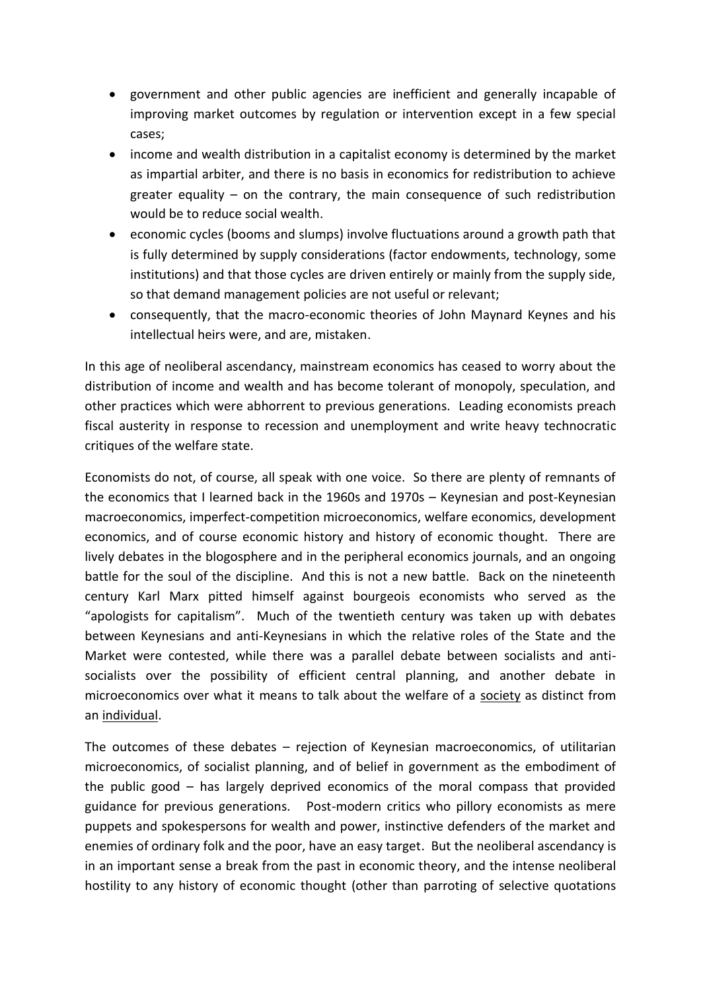- government and other public agencies are inefficient and generally incapable of improving market outcomes by regulation or intervention except in a few special cases;
- income and wealth distribution in a capitalist economy is determined by the market as impartial arbiter, and there is no basis in economics for redistribution to achieve greater equality – on the contrary, the main consequence of such redistribution would be to reduce social wealth.
- economic cycles (booms and slumps) involve fluctuations around a growth path that is fully determined by supply considerations (factor endowments, technology, some institutions) and that those cycles are driven entirely or mainly from the supply side, so that demand management policies are not useful or relevant;
- consequently, that the macro-economic theories of John Maynard Keynes and his intellectual heirs were, and are, mistaken.

In this age of neoliberal ascendancy, mainstream economics has ceased to worry about the distribution of income and wealth and has become tolerant of monopoly, speculation, and other practices which were abhorrent to previous generations. Leading economists preach fiscal austerity in response to recession and unemployment and write heavy technocratic critiques of the welfare state.

Economists do not, of course, all speak with one voice. So there are plenty of remnants of the economics that I learned back in the 1960s and 1970s – Keynesian and post-Keynesian macroeconomics, imperfect-competition microeconomics, welfare economics, development economics, and of course economic history and history of economic thought. There are lively debates in the blogosphere and in the peripheral economics journals, and an ongoing battle for the soul of the discipline. And this is not a new battle. Back on the nineteenth century Karl Marx pitted himself against bourgeois economists who served as the "apologists for capitalism". Much of the twentieth century was taken up with debates between Keynesians and anti-Keynesians in which the relative roles of the State and the Market were contested, while there was a parallel debate between socialists and antisocialists over the possibility of efficient central planning, and another debate in microeconomics over what it means to talk about the welfare of a society as distinct from an individual.

The outcomes of these debates – rejection of Keynesian macroeconomics, of utilitarian microeconomics, of socialist planning, and of belief in government as the embodiment of the public good – has largely deprived economics of the moral compass that provided guidance for previous generations. Post-modern critics who pillory economists as mere puppets and spokespersons for wealth and power, instinctive defenders of the market and enemies of ordinary folk and the poor, have an easy target. But the neoliberal ascendancy is in an important sense a break from the past in economic theory, and the intense neoliberal hostility to any history of economic thought (other than parroting of selective quotations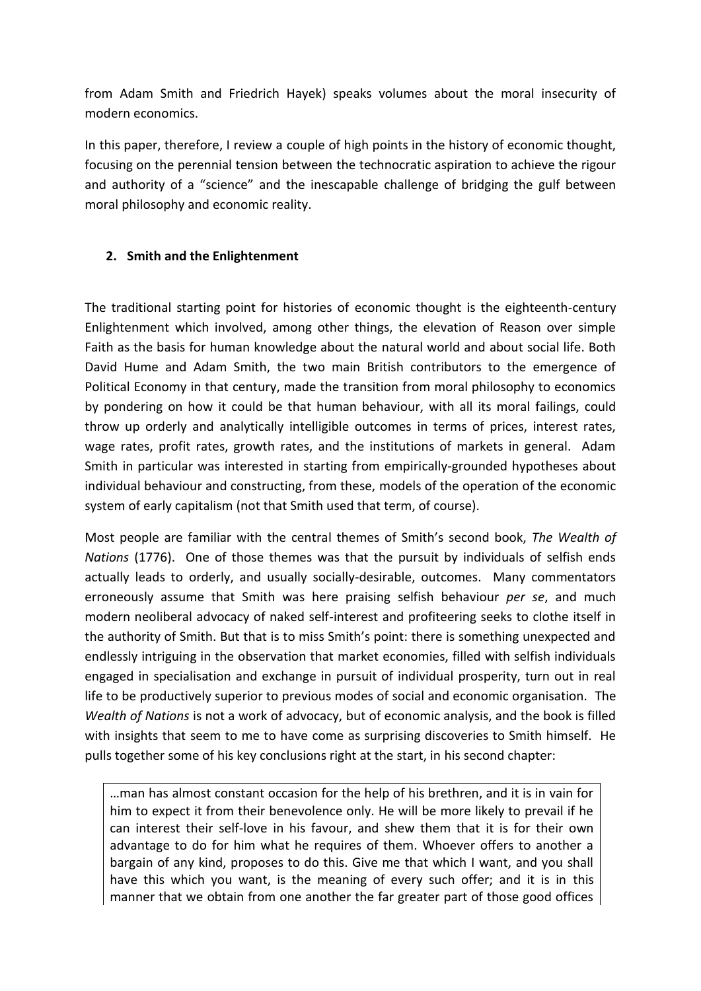from Adam Smith and Friedrich Hayek) speaks volumes about the moral insecurity of modern economics.

In this paper, therefore, I review a couple of high points in the history of economic thought, focusing on the perennial tension between the technocratic aspiration to achieve the rigour and authority of a "science" and the inescapable challenge of bridging the gulf between moral philosophy and economic reality.

### **2. Smith and the Enlightenment**

The traditional starting point for histories of economic thought is the eighteenth-century Enlightenment which involved, among other things, the elevation of Reason over simple Faith as the basis for human knowledge about the natural world and about social life. Both David Hume and Adam Smith, the two main British contributors to the emergence of Political Economy in that century, made the transition from moral philosophy to economics by pondering on how it could be that human behaviour, with all its moral failings, could throw up orderly and analytically intelligible outcomes in terms of prices, interest rates, wage rates, profit rates, growth rates, and the institutions of markets in general. Adam Smith in particular was interested in starting from empirically-grounded hypotheses about individual behaviour and constructing, from these, models of the operation of the economic system of early capitalism (not that Smith used that term, of course).

Most people are familiar with the central themes of Smith's second book, *The Wealth of Nations* (1776). One of those themes was that the pursuit by individuals of selfish ends actually leads to orderly, and usually socially-desirable, outcomes. Many commentators erroneously assume that Smith was here praising selfish behaviour *per se*, and much modern neoliberal advocacy of naked self-interest and profiteering seeks to clothe itself in the authority of Smith. But that is to miss Smith's point: there is something unexpected and endlessly intriguing in the observation that market economies, filled with selfish individuals engaged in specialisation and exchange in pursuit of individual prosperity, turn out in real life to be productively superior to previous modes of social and economic organisation. The *Wealth of Nations* is not a work of advocacy, but of economic analysis, and the book is filled with insights that seem to me to have come as surprising discoveries to Smith himself. He pulls together some of his key conclusions right at the start, in his second chapter:

…man has almost constant occasion for the help of his brethren, and it is in vain for him to expect it from their benevolence only. He will be more likely to prevail if he can interest their self-love in his favour, and shew them that it is for their own advantage to do for him what he requires of them. Whoever offers to another a bargain of any kind, proposes to do this. Give me that which I want, and you shall have this which you want, is the meaning of every such offer; and it is in this manner that we obtain from one another the far greater part of those good offices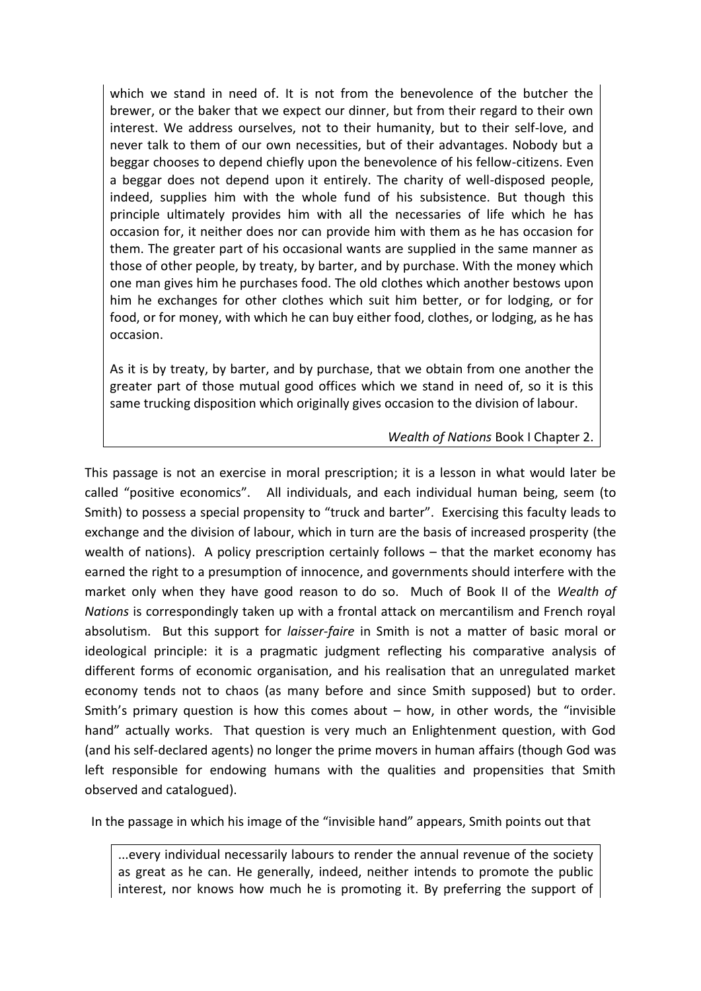which we stand in need of. It is not from the benevolence of the butcher the brewer, or the baker that we expect our dinner, but from their regard to their own interest. We address ourselves, not to their humanity, but to their self-love, and never talk to them of our own necessities, but of their advantages. Nobody but a beggar chooses to depend chiefly upon the benevolence of his fellow-citizens. Even a beggar does not depend upon it entirely. The charity of well-disposed people, indeed, supplies him with the whole fund of his subsistence. But though this principle ultimately provides him with all the necessaries of life which he has occasion for, it neither does nor can provide him with them as he has occasion for them. The greater part of his occasional wants are supplied in the same manner as those of other people, by treaty, by barter, and by purchase. With the money which one man gives him he purchases food. The old clothes which another bestows upon him he exchanges for other clothes which suit him better, or for lodging, or for food, or for money, with which he can buy either food, clothes, or lodging, as he has occasion.

As it is by treaty, by barter, and by purchase, that we obtain from one another the greater part of those mutual good offices which we stand in need of, so it is this same trucking disposition which originally gives occasion to the division of labour.

#### *Wealth of Nations* Book I Chapter 2.

This passage is not an exercise in moral prescription; it is a lesson in what would later be called "positive economics". All individuals, and each individual human being, seem (to Smith) to possess a special propensity to "truck and barter". Exercising this faculty leads to exchange and the division of labour, which in turn are the basis of increased prosperity (the wealth of nations). A policy prescription certainly follows – that the market economy has earned the right to a presumption of innocence, and governments should interfere with the market only when they have good reason to do so. Much of Book II of the *Wealth of Nations* is correspondingly taken up with a frontal attack on mercantilism and French royal absolutism. But this support for *laisser-faire* in Smith is not a matter of basic moral or ideological principle: it is a pragmatic judgment reflecting his comparative analysis of different forms of economic organisation, and his realisation that an unregulated market economy tends not to chaos (as many before and since Smith supposed) but to order. Smith's primary question is how this comes about  $-$  how, in other words, the "invisible hand" actually works. That question is very much an Enlightenment question, with God (and his self-declared agents) no longer the prime movers in human affairs (though God was left responsible for endowing humans with the qualities and propensities that Smith observed and catalogued).

In the passage in which his image of the "invisible hand" appears, Smith points out that

...every individual necessarily labours to render the annual revenue of the society as great as he can. He generally, indeed, neither intends to promote the public interest, nor knows how much he is promoting it. By preferring the support of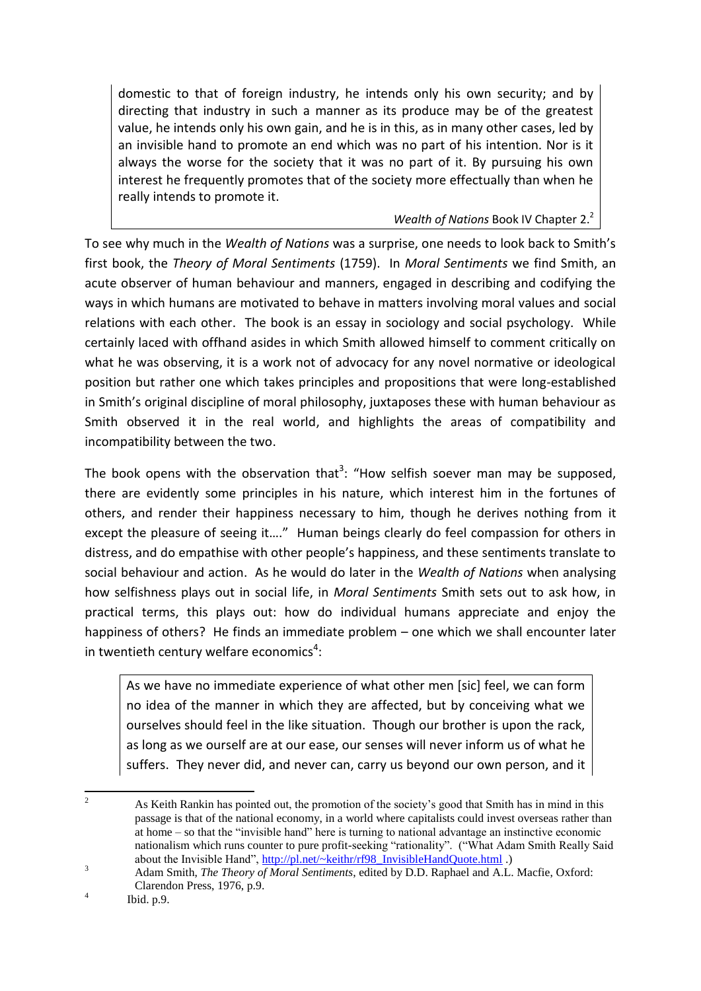domestic to that of foreign industry, he intends only his own security; and by directing that industry in such a manner as its produce may be of the greatest value, he intends only his own gain, and he is in this, as in many other cases, led by an invisible hand to promote an end which was no part of his intention. Nor is it always the worse for the society that it was no part of it. By pursuing his own interest he frequently promotes that of the society more effectually than when he really intends to promote it.

*Wealth of Nations* Book IV Chapter 2.<sup>2</sup>

To see why much in the *Wealth of Nations* was a surprise, one needs to look back to Smith's first book, the *Theory of Moral Sentiments* (1759). In *Moral Sentiments* we find Smith, an acute observer of human behaviour and manners, engaged in describing and codifying the ways in which humans are motivated to behave in matters involving moral values and social relations with each other. The book is an essay in sociology and social psychology. While certainly laced with offhand asides in which Smith allowed himself to comment critically on what he was observing, it is a work not of advocacy for any novel normative or ideological position but rather one which takes principles and propositions that were long-established in Smith's original discipline of moral philosophy, juxtaposes these with human behaviour as Smith observed it in the real world, and highlights the areas of compatibility and incompatibility between the two.

The book opens with the observation that<sup>3</sup>: "How selfish soever man may be supposed, there are evidently some principles in his nature, which interest him in the fortunes of others, and render their happiness necessary to him, though he derives nothing from it except the pleasure of seeing it…." Human beings clearly do feel compassion for others in distress, and do empathise with other people's happiness, and these sentiments translate to social behaviour and action. As he would do later in the *Wealth of Nations* when analysing how selfishness plays out in social life, in *Moral Sentiments* Smith sets out to ask how, in practical terms, this plays out: how do individual humans appreciate and enjoy the happiness of others? He finds an immediate problem – one which we shall encounter later in twentieth century welfare economics<sup>4</sup>:

As we have no immediate experience of what other men [sic] feel, we can form no idea of the manner in which they are affected, but by conceiving what we ourselves should feel in the like situation. Though our brother is upon the rack, as long as we ourself are at our ease, our senses will never inform us of what he suffers. They never did, and never can, carry us beyond our own person, and it

 $\overline{c}$ <sup>2</sup> As Keith Rankin has pointed out, the promotion of the society's good that Smith has in mind in this passage is that of the national economy, in a world where capitalists could invest overseas rather than at home – so that the "invisible hand" here is turning to national advantage an instinctive economic nationalism which runs counter to pure profit-seeking "rationality". ("What Adam Smith Really Said about the Invisible Hand", [http://pl.net/~keithr/rf98\\_InvisibleHandQuote.html](http://pl.net/~keithr/rf98_InvisibleHandQuote.html) .)

<sup>3</sup> Adam Smith, *The Theory of Moral Sentiments*, edited by D.D. Raphael and A.L. Macfie, Oxford: Clarendon Press, 1976, p.9. 4

Ibid. p.9.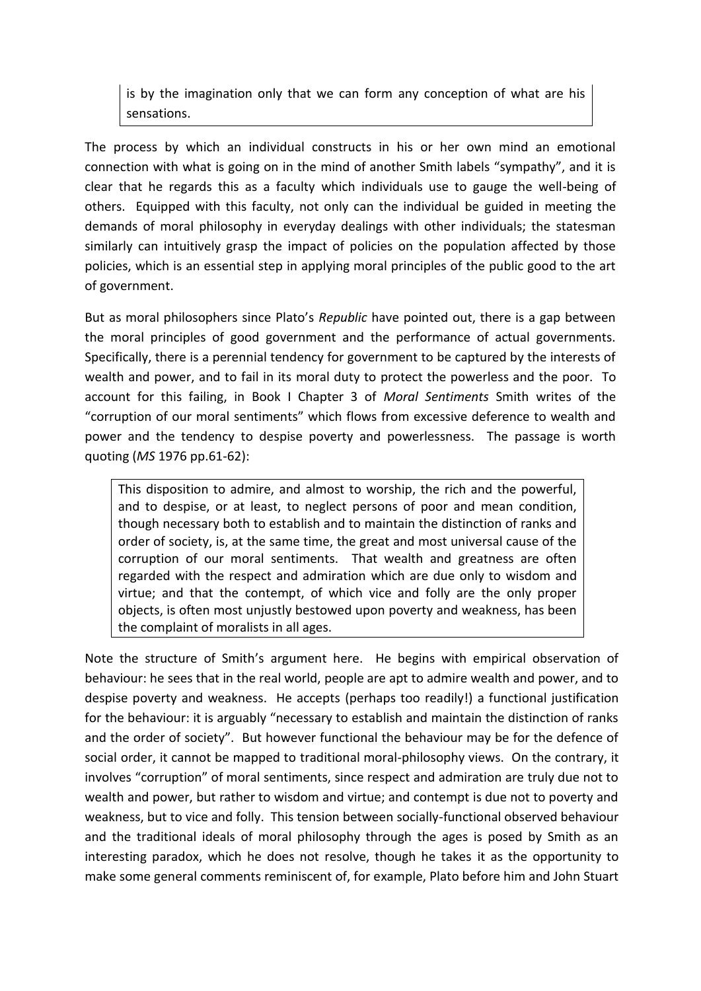is by the imagination only that we can form any conception of what are his sensations.

The process by which an individual constructs in his or her own mind an emotional connection with what is going on in the mind of another Smith labels "sympathy", and it is clear that he regards this as a faculty which individuals use to gauge the well-being of others. Equipped with this faculty, not only can the individual be guided in meeting the demands of moral philosophy in everyday dealings with other individuals; the statesman similarly can intuitively grasp the impact of policies on the population affected by those policies, which is an essential step in applying moral principles of the public good to the art of government.

But as moral philosophers since Plato's *Republic* have pointed out, there is a gap between the moral principles of good government and the performance of actual governments. Specifically, there is a perennial tendency for government to be captured by the interests of wealth and power, and to fail in its moral duty to protect the powerless and the poor. To account for this failing, in Book I Chapter 3 of *Moral Sentiments* Smith writes of the "corruption of our moral sentiments" which flows from excessive deference to wealth and power and the tendency to despise poverty and powerlessness. The passage is worth quoting (*MS* 1976 pp.61-62):

This disposition to admire, and almost to worship, the rich and the powerful, and to despise, or at least, to neglect persons of poor and mean condition, though necessary both to establish and to maintain the distinction of ranks and order of society, is, at the same time, the great and most universal cause of the corruption of our moral sentiments. That wealth and greatness are often regarded with the respect and admiration which are due only to wisdom and virtue; and that the contempt, of which vice and folly are the only proper objects, is often most unjustly bestowed upon poverty and weakness, has been the complaint of moralists in all ages.

Note the structure of Smith's argument here. He begins with empirical observation of behaviour: he sees that in the real world, people are apt to admire wealth and power, and to despise poverty and weakness. He accepts (perhaps too readily!) a functional justification for the behaviour: it is arguably "necessary to establish and maintain the distinction of ranks and the order of society". But however functional the behaviour may be for the defence of social order, it cannot be mapped to traditional moral-philosophy views. On the contrary, it involves "corruption" of moral sentiments, since respect and admiration are truly due not to wealth and power, but rather to wisdom and virtue; and contempt is due not to poverty and weakness, but to vice and folly. This tension between socially-functional observed behaviour and the traditional ideals of moral philosophy through the ages is posed by Smith as an interesting paradox, which he does not resolve, though he takes it as the opportunity to make some general comments reminiscent of, for example, Plato before him and John Stuart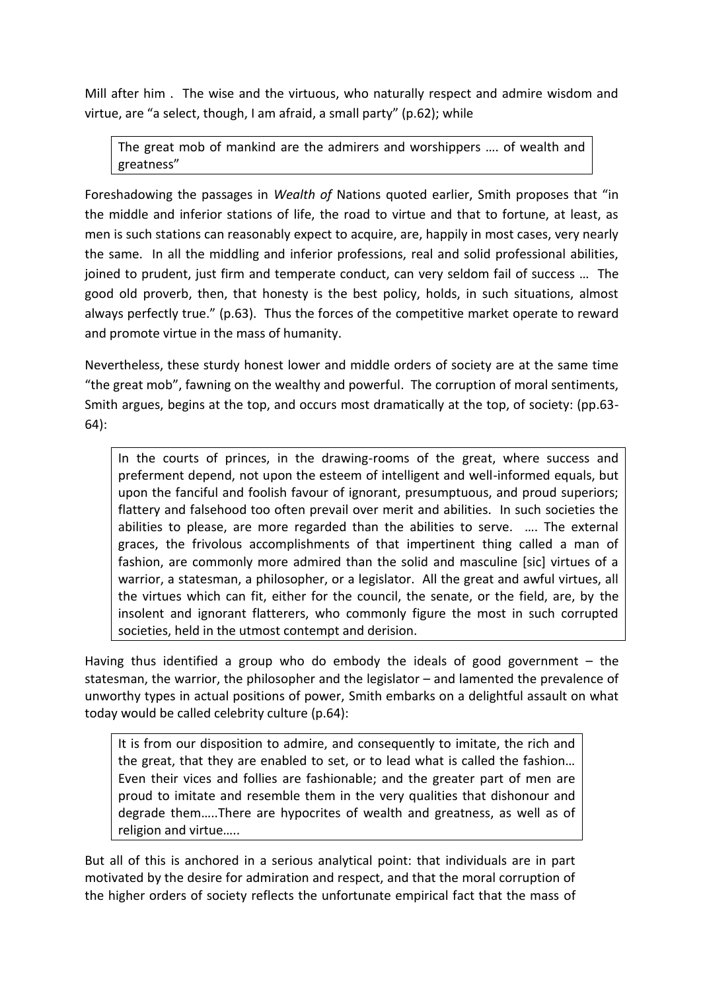Mill after him . The wise and the virtuous, who naturally respect and admire wisdom and virtue, are "a select, though, I am afraid, a small party" (p.62); while

The great mob of mankind are the admirers and worshippers …. of wealth and greatness"

Foreshadowing the passages in *Wealth of* Nations quoted earlier, Smith proposes that "in the middle and inferior stations of life, the road to virtue and that to fortune, at least, as men is such stations can reasonably expect to acquire, are, happily in most cases, very nearly the same. In all the middling and inferior professions, real and solid professional abilities, joined to prudent, just firm and temperate conduct, can very seldom fail of success … The good old proverb, then, that honesty is the best policy, holds, in such situations, almost always perfectly true." (p.63). Thus the forces of the competitive market operate to reward and promote virtue in the mass of humanity.

Nevertheless, these sturdy honest lower and middle orders of society are at the same time "the great mob", fawning on the wealthy and powerful. The corruption of moral sentiments, Smith argues, begins at the top, and occurs most dramatically at the top, of society: (pp.63- 64):

In the courts of princes, in the drawing-rooms of the great, where success and preferment depend, not upon the esteem of intelligent and well-informed equals, but upon the fanciful and foolish favour of ignorant, presumptuous, and proud superiors; flattery and falsehood too often prevail over merit and abilities. In such societies the abilities to please, are more regarded than the abilities to serve. …. The external graces, the frivolous accomplishments of that impertinent thing called a man of fashion, are commonly more admired than the solid and masculine [sic] virtues of a warrior, a statesman, a philosopher, or a legislator. All the great and awful virtues, all the virtues which can fit, either for the council, the senate, or the field, are, by the insolent and ignorant flatterers, who commonly figure the most in such corrupted societies, held in the utmost contempt and derision.

Having thus identified a group who do embody the ideals of good government  $-$  the statesman, the warrior, the philosopher and the legislator – and lamented the prevalence of unworthy types in actual positions of power, Smith embarks on a delightful assault on what today would be called celebrity culture (p.64):

It is from our disposition to admire, and consequently to imitate, the rich and the great, that they are enabled to set, or to lead what is called the fashion… Even their vices and follies are fashionable; and the greater part of men are proud to imitate and resemble them in the very qualities that dishonour and degrade them…..There are hypocrites of wealth and greatness, as well as of religion and virtue…..

But all of this is anchored in a serious analytical point: that individuals are in part motivated by the desire for admiration and respect, and that the moral corruption of the higher orders of society reflects the unfortunate empirical fact that the mass of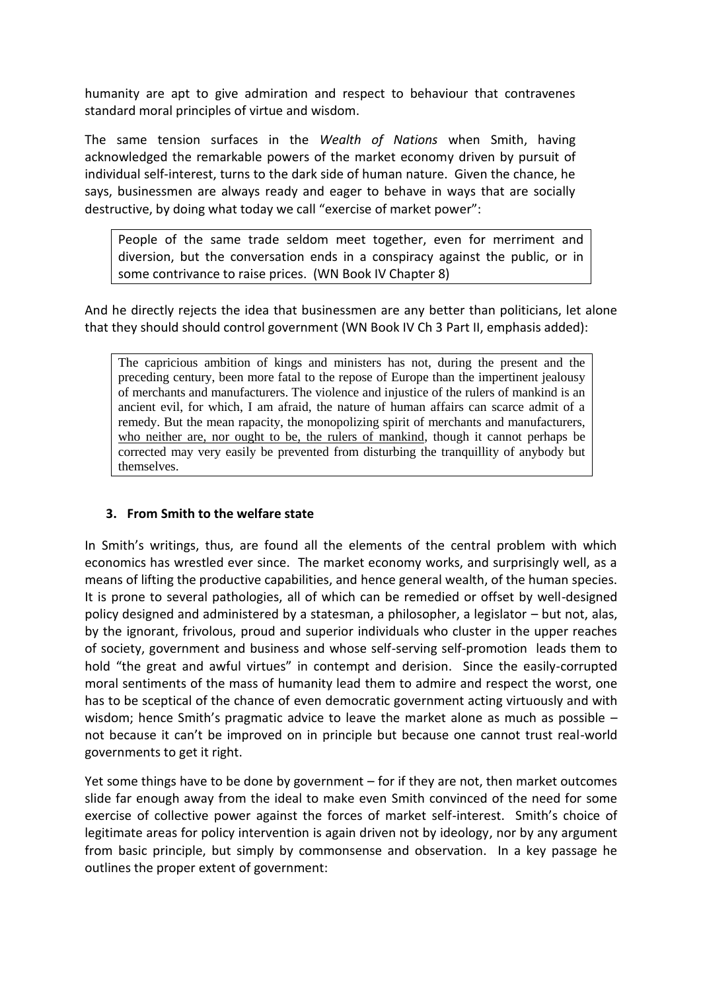humanity are apt to give admiration and respect to behaviour that contravenes standard moral principles of virtue and wisdom.

The same tension surfaces in the *Wealth of Nations* when Smith, having acknowledged the remarkable powers of the market economy driven by pursuit of individual self-interest, turns to the dark side of human nature. Given the chance, he says, businessmen are always ready and eager to behave in ways that are socially destructive, by doing what today we call "exercise of market power":

People of the same trade seldom meet together, even for merriment and diversion, but the conversation ends in a conspiracy against the public, or in some contrivance to raise prices. (WN Book IV Chapter 8)

And he directly rejects the idea that businessmen are any better than politicians, let alone that they should should control government (WN Book IV Ch 3 Part II, emphasis added):

The capricious ambition of kings and ministers has not, during the present and the preceding century, been more fatal to the repose of Europe than the impertinent jealousy of merchants and manufacturers. The violence and injustice of the rulers of mankind is an ancient evil, for which, I am afraid, the nature of human affairs can scarce admit of a remedy. But the mean rapacity, the monopolizing spirit of merchants and manufacturers, who neither are, nor ought to be, the rulers of mankind, though it cannot perhaps be corrected may very easily be prevented from disturbing the tranquillity of anybody but themselves.

### **3. From Smith to the welfare state**

In Smith's writings, thus, are found all the elements of the central problem with which economics has wrestled ever since. The market economy works, and surprisingly well, as a means of lifting the productive capabilities, and hence general wealth, of the human species. It is prone to several pathologies, all of which can be remedied or offset by well-designed policy designed and administered by a statesman, a philosopher, a legislator – but not, alas, by the ignorant, frivolous, proud and superior individuals who cluster in the upper reaches of society, government and business and whose self-serving self-promotion leads them to hold "the great and awful virtues" in contempt and derision. Since the easily-corrupted moral sentiments of the mass of humanity lead them to admire and respect the worst, one has to be sceptical of the chance of even democratic government acting virtuously and with wisdom; hence Smith's pragmatic advice to leave the market alone as much as possible – not because it can't be improved on in principle but because one cannot trust real-world governments to get it right.

Yet some things have to be done by government – for if they are not, then market outcomes slide far enough away from the ideal to make even Smith convinced of the need for some exercise of collective power against the forces of market self-interest. Smith's choice of legitimate areas for policy intervention is again driven not by ideology, nor by any argument from basic principle, but simply by commonsense and observation. In a key passage he outlines the proper extent of government: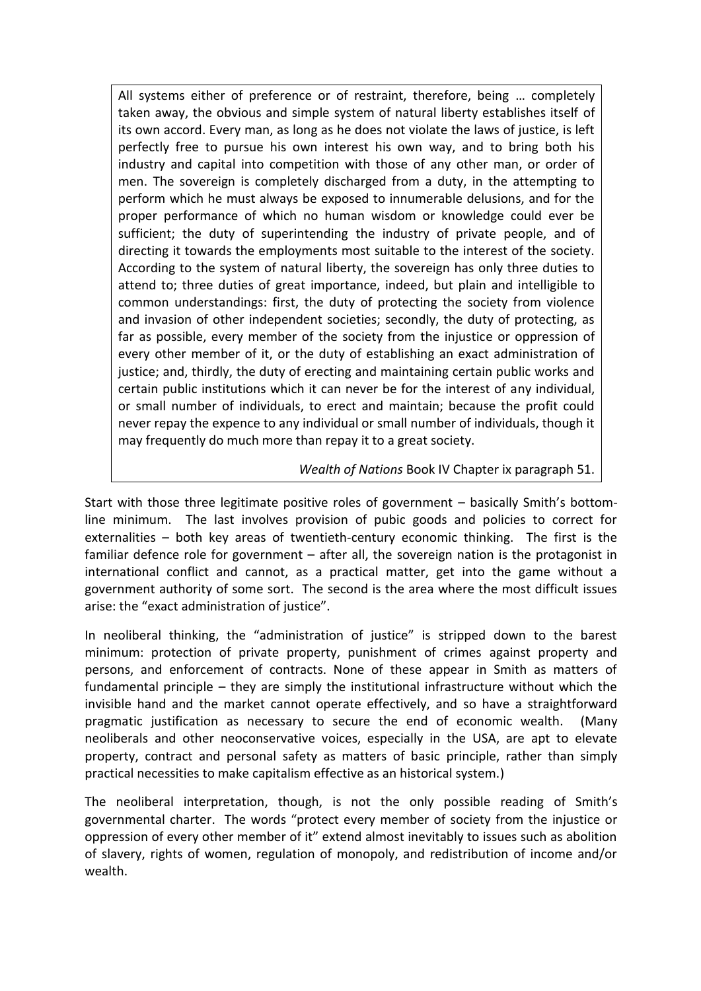All systems either of preference or of restraint, therefore, being … completely taken away, the obvious and simple system of natural liberty establishes itself of its own accord. Every man, as long as he does not violate the laws of justice, is left perfectly free to pursue his own interest his own way, and to bring both his industry and capital into competition with those of any other man, or order of men. The sovereign is completely discharged from a duty, in the attempting to perform which he must always be exposed to innumerable delusions, and for the proper performance of which no human wisdom or knowledge could ever be sufficient; the duty of superintending the industry of private people, and of directing it towards the employments most suitable to the interest of the society. According to the system of natural liberty, the sovereign has only three duties to attend to; three duties of great importance, indeed, but plain and intelligible to common understandings: first, the duty of protecting the society from violence and invasion of other independent societies; secondly, the duty of protecting, as far as possible, every member of the society from the injustice or oppression of every other member of it, or the duty of establishing an exact administration of justice; and, thirdly, the duty of erecting and maintaining certain public works and certain public institutions which it can never be for the interest of any individual, or small number of individuals, to erect and maintain; because the profit could never repay the expence to any individual or small number of individuals, though it may frequently do much more than repay it to a great society.

### *Wealth of Nations* Book IV Chapter ix paragraph 51.

Start with those three legitimate positive roles of government – basically Smith's bottomline minimum. The last involves provision of pubic goods and policies to correct for externalities – both key areas of twentieth-century economic thinking. The first is the familiar defence role for government – after all, the sovereign nation is the protagonist in international conflict and cannot, as a practical matter, get into the game without a government authority of some sort. The second is the area where the most difficult issues arise: the "exact administration of justice".

In neoliberal thinking, the "administration of justice" is stripped down to the barest minimum: protection of private property, punishment of crimes against property and persons, and enforcement of contracts. None of these appear in Smith as matters of fundamental principle – they are simply the institutional infrastructure without which the invisible hand and the market cannot operate effectively, and so have a straightforward pragmatic justification as necessary to secure the end of economic wealth. (Many neoliberals and other neoconservative voices, especially in the USA, are apt to elevate property, contract and personal safety as matters of basic principle, rather than simply practical necessities to make capitalism effective as an historical system.)

The neoliberal interpretation, though, is not the only possible reading of Smith's governmental charter. The words "protect every member of society from the injustice or oppression of every other member of it" extend almost inevitably to issues such as abolition of slavery, rights of women, regulation of monopoly, and redistribution of income and/or wealth.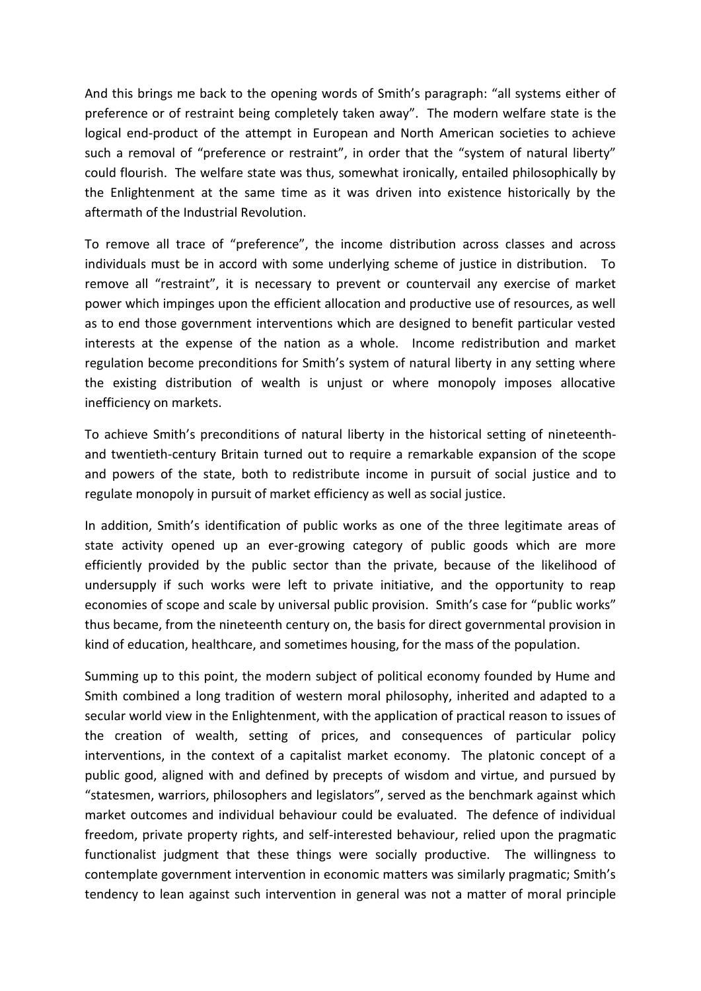And this brings me back to the opening words of Smith's paragraph: "all systems either of preference or of restraint being completely taken away". The modern welfare state is the logical end-product of the attempt in European and North American societies to achieve such a removal of "preference or restraint", in order that the "system of natural liberty" could flourish. The welfare state was thus, somewhat ironically, entailed philosophically by the Enlightenment at the same time as it was driven into existence historically by the aftermath of the Industrial Revolution.

To remove all trace of "preference", the income distribution across classes and across individuals must be in accord with some underlying scheme of justice in distribution. To remove all "restraint", it is necessary to prevent or countervail any exercise of market power which impinges upon the efficient allocation and productive use of resources, as well as to end those government interventions which are designed to benefit particular vested interests at the expense of the nation as a whole. Income redistribution and market regulation become preconditions for Smith's system of natural liberty in any setting where the existing distribution of wealth is unjust or where monopoly imposes allocative inefficiency on markets.

To achieve Smith's preconditions of natural liberty in the historical setting of nineteenthand twentieth-century Britain turned out to require a remarkable expansion of the scope and powers of the state, both to redistribute income in pursuit of social justice and to regulate monopoly in pursuit of market efficiency as well as social justice.

In addition, Smith's identification of public works as one of the three legitimate areas of state activity opened up an ever-growing category of public goods which are more efficiently provided by the public sector than the private, because of the likelihood of undersupply if such works were left to private initiative, and the opportunity to reap economies of scope and scale by universal public provision. Smith's case for "public works" thus became, from the nineteenth century on, the basis for direct governmental provision in kind of education, healthcare, and sometimes housing, for the mass of the population.

Summing up to this point, the modern subject of political economy founded by Hume and Smith combined a long tradition of western moral philosophy, inherited and adapted to a secular world view in the Enlightenment, with the application of practical reason to issues of the creation of wealth, setting of prices, and consequences of particular policy interventions, in the context of a capitalist market economy. The platonic concept of a public good, aligned with and defined by precepts of wisdom and virtue, and pursued by "statesmen, warriors, philosophers and legislators", served as the benchmark against which market outcomes and individual behaviour could be evaluated. The defence of individual freedom, private property rights, and self-interested behaviour, relied upon the pragmatic functionalist judgment that these things were socially productive. The willingness to contemplate government intervention in economic matters was similarly pragmatic; Smith's tendency to lean against such intervention in general was not a matter of moral principle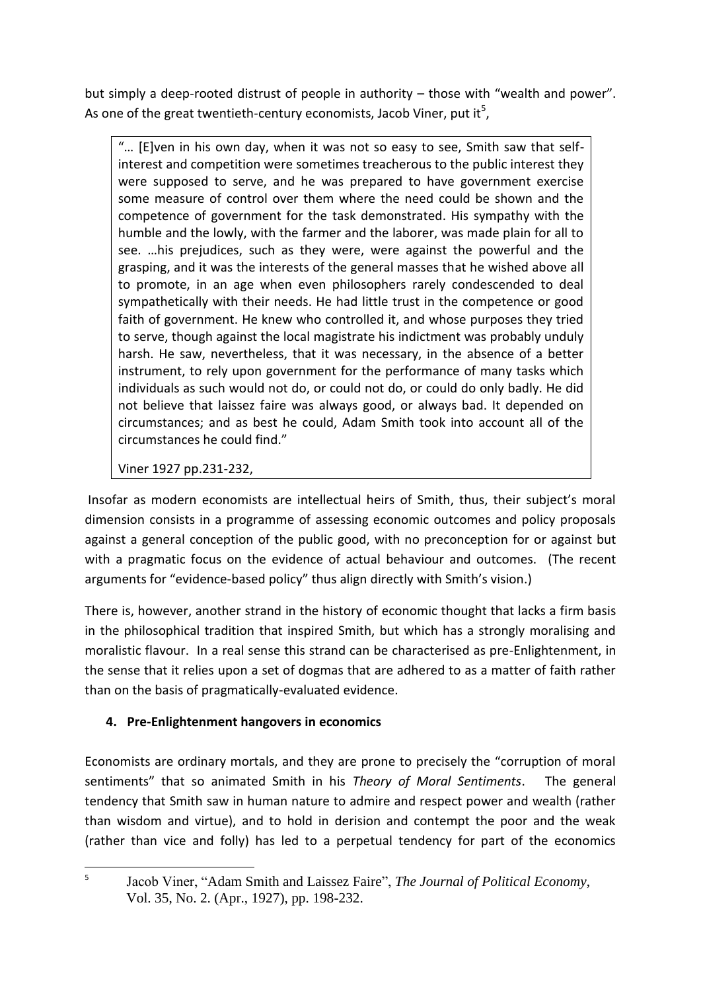but simply a deep-rooted distrust of people in authority – those with "wealth and power". As one of the great twentieth-century economists, Jacob Viner, put it<sup>5</sup>,

"… [E]ven in his own day, when it was not so easy to see, Smith saw that selfinterest and competition were sometimes treacherous to the public interest they were supposed to serve, and he was prepared to have government exercise some measure of control over them where the need could be shown and the competence of government for the task demonstrated. His sympathy with the humble and the lowly, with the farmer and the laborer, was made plain for all to see. …his prejudices, such as they were, were against the powerful and the grasping, and it was the interests of the general masses that he wished above all to promote, in an age when even philosophers rarely condescended to deal sympathetically with their needs. He had little trust in the competence or good faith of government. He knew who controlled it, and whose purposes they tried to serve, though against the local magistrate his indictment was probably unduly harsh. He saw, nevertheless, that it was necessary, in the absence of a better instrument, to rely upon government for the performance of many tasks which individuals as such would not do, or could not do, or could do only badly. He did not believe that laissez faire was always good, or always bad. It depended on circumstances; and as best he could, Adam Smith took into account all of the circumstances he could find."

Viner 1927 pp.231-232,

Insofar as modern economists are intellectual heirs of Smith, thus, their subject's moral dimension consists in a programme of assessing economic outcomes and policy proposals against a general conception of the public good, with no preconception for or against but with a pragmatic focus on the evidence of actual behaviour and outcomes. (The recent arguments for "evidence-based policy" thus align directly with Smith's vision.)

There is, however, another strand in the history of economic thought that lacks a firm basis in the philosophical tradition that inspired Smith, but which has a strongly moralising and moralistic flavour. In a real sense this strand can be characterised as pre-Enlightenment, in the sense that it relies upon a set of dogmas that are adhered to as a matter of faith rather than on the basis of pragmatically-evaluated evidence.

# **4. Pre-Enlightenment hangovers in economics**

Economists are ordinary mortals, and they are prone to precisely the "corruption of moral sentiments" that so animated Smith in his *Theory of Moral Sentiments*. The general tendency that Smith saw in human nature to admire and respect power and wealth (rather than wisdom and virtue), and to hold in derision and contempt the poor and the weak (rather than vice and folly) has led to a perpetual tendency for part of the economics

**<sup>.</sup>** 5

Jacob Viner, "Adam Smith and Laissez Faire", *The Journal of Political Economy*, Vol. 35, No. 2. (Apr., 1927), pp. 198-232.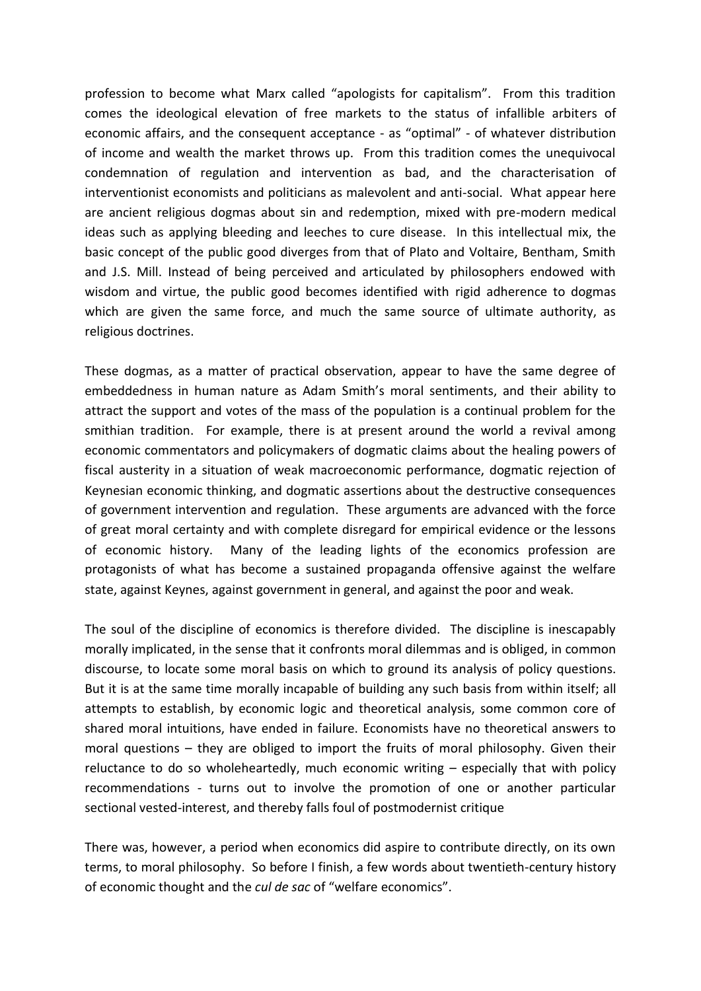profession to become what Marx called "apologists for capitalism". From this tradition comes the ideological elevation of free markets to the status of infallible arbiters of economic affairs, and the consequent acceptance - as "optimal" - of whatever distribution of income and wealth the market throws up. From this tradition comes the unequivocal condemnation of regulation and intervention as bad, and the characterisation of interventionist economists and politicians as malevolent and anti-social. What appear here are ancient religious dogmas about sin and redemption, mixed with pre-modern medical ideas such as applying bleeding and leeches to cure disease. In this intellectual mix, the basic concept of the public good diverges from that of Plato and Voltaire, Bentham, Smith and J.S. Mill. Instead of being perceived and articulated by philosophers endowed with wisdom and virtue, the public good becomes identified with rigid adherence to dogmas which are given the same force, and much the same source of ultimate authority, as religious doctrines.

These dogmas, as a matter of practical observation, appear to have the same degree of embeddedness in human nature as Adam Smith's moral sentiments, and their ability to attract the support and votes of the mass of the population is a continual problem for the smithian tradition. For example, there is at present around the world a revival among economic commentators and policymakers of dogmatic claims about the healing powers of fiscal austerity in a situation of weak macroeconomic performance, dogmatic rejection of Keynesian economic thinking, and dogmatic assertions about the destructive consequences of government intervention and regulation. These arguments are advanced with the force of great moral certainty and with complete disregard for empirical evidence or the lessons of economic history. Many of the leading lights of the economics profession are protagonists of what has become a sustained propaganda offensive against the welfare state, against Keynes, against government in general, and against the poor and weak.

The soul of the discipline of economics is therefore divided. The discipline is inescapably morally implicated, in the sense that it confronts moral dilemmas and is obliged, in common discourse, to locate some moral basis on which to ground its analysis of policy questions. But it is at the same time morally incapable of building any such basis from within itself; all attempts to establish, by economic logic and theoretical analysis, some common core of shared moral intuitions, have ended in failure. Economists have no theoretical answers to moral questions – they are obliged to import the fruits of moral philosophy. Given their reluctance to do so wholeheartedly, much economic writing – especially that with policy recommendations - turns out to involve the promotion of one or another particular sectional vested-interest, and thereby falls foul of postmodernist critique

There was, however, a period when economics did aspire to contribute directly, on its own terms, to moral philosophy. So before I finish, a few words about twentieth-century history of economic thought and the *cul de sac* of "welfare economics".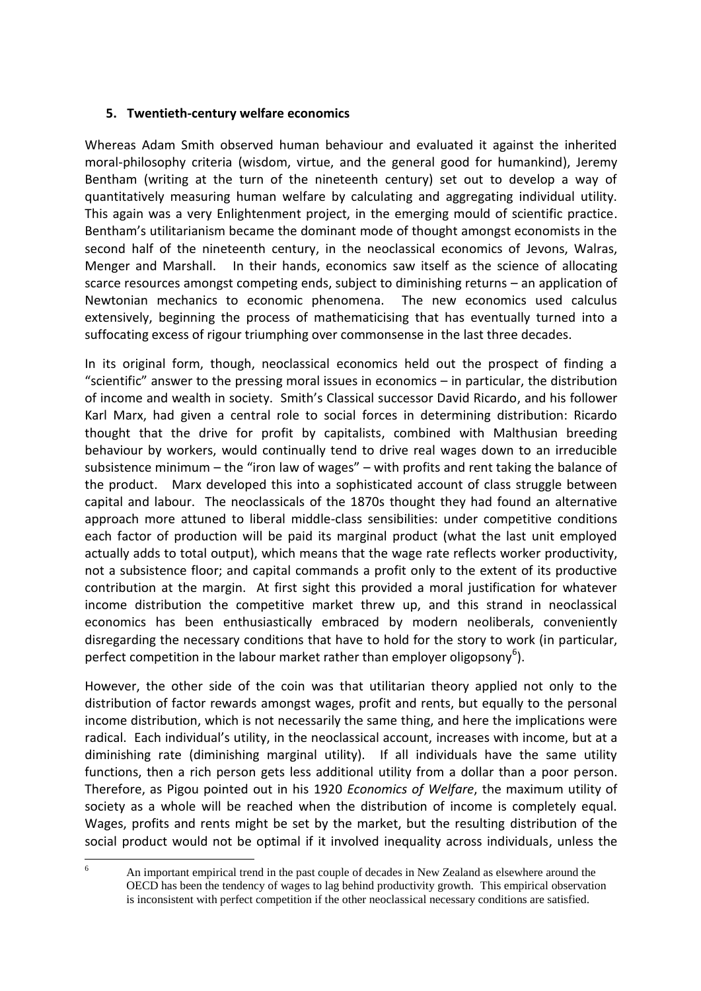#### **5. Twentieth-century welfare economics**

Whereas Adam Smith observed human behaviour and evaluated it against the inherited moral-philosophy criteria (wisdom, virtue, and the general good for humankind), Jeremy Bentham (writing at the turn of the nineteenth century) set out to develop a way of quantitatively measuring human welfare by calculating and aggregating individual utility. This again was a very Enlightenment project, in the emerging mould of scientific practice. Bentham's utilitarianism became the dominant mode of thought amongst economists in the second half of the nineteenth century, in the neoclassical economics of Jevons, Walras, Menger and Marshall. In their hands, economics saw itself as the science of allocating scarce resources amongst competing ends, subject to diminishing returns – an application of Newtonian mechanics to economic phenomena. The new economics used calculus extensively, beginning the process of mathematicising that has eventually turned into a suffocating excess of rigour triumphing over commonsense in the last three decades.

In its original form, though, neoclassical economics held out the prospect of finding a "scientific" answer to the pressing moral issues in economics – in particular, the distribution of income and wealth in society. Smith's Classical successor David Ricardo, and his follower Karl Marx, had given a central role to social forces in determining distribution: Ricardo thought that the drive for profit by capitalists, combined with Malthusian breeding behaviour by workers, would continually tend to drive real wages down to an irreducible subsistence minimum – the "iron law of wages" – with profits and rent taking the balance of the product. Marx developed this into a sophisticated account of class struggle between capital and labour. The neoclassicals of the 1870s thought they had found an alternative approach more attuned to liberal middle-class sensibilities: under competitive conditions each factor of production will be paid its marginal product (what the last unit employed actually adds to total output), which means that the wage rate reflects worker productivity, not a subsistence floor; and capital commands a profit only to the extent of its productive contribution at the margin. At first sight this provided a moral justification for whatever income distribution the competitive market threw up, and this strand in neoclassical economics has been enthusiastically embraced by modern neoliberals, conveniently disregarding the necessary conditions that have to hold for the story to work (in particular, perfect competition in the labour market rather than employer oligopsony<sup>6</sup>).

However, the other side of the coin was that utilitarian theory applied not only to the distribution of factor rewards amongst wages, profit and rents, but equally to the personal income distribution, which is not necessarily the same thing, and here the implications were radical. Each individual's utility, in the neoclassical account, increases with income, but at a diminishing rate (diminishing marginal utility). If all individuals have the same utility functions, then a rich person gets less additional utility from a dollar than a poor person. Therefore, as Pigou pointed out in his 1920 *Economics of Welfare*, the maximum utility of society as a whole will be reached when the distribution of income is completely equal. Wages, profits and rents might be set by the market, but the resulting distribution of the social product would not be optimal if it involved inequality across individuals, unless the

 $6\overline{6}$ <sup>6</sup> An important empirical trend in the past couple of decades in New Zealand as elsewhere around the OECD has been the tendency of wages to lag behind productivity growth. This empirical observation is inconsistent with perfect competition if the other neoclassical necessary conditions are satisfied.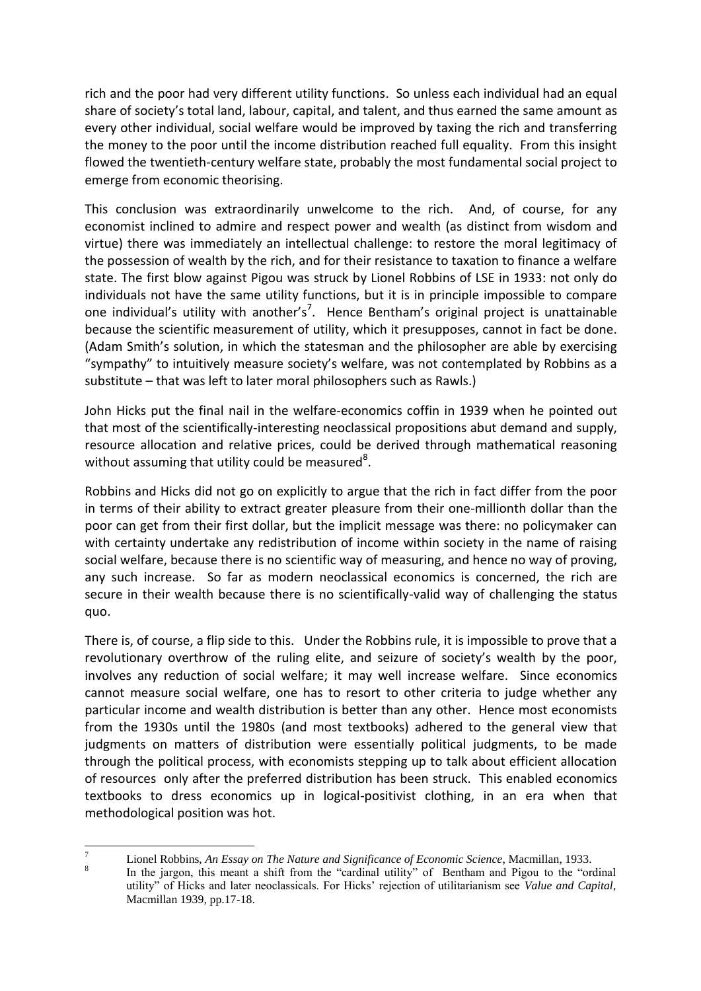rich and the poor had very different utility functions. So unless each individual had an equal share of society's total land, labour, capital, and talent, and thus earned the same amount as every other individual, social welfare would be improved by taxing the rich and transferring the money to the poor until the income distribution reached full equality. From this insight flowed the twentieth-century welfare state, probably the most fundamental social project to emerge from economic theorising.

This conclusion was extraordinarily unwelcome to the rich. And, of course, for any economist inclined to admire and respect power and wealth (as distinct from wisdom and virtue) there was immediately an intellectual challenge: to restore the moral legitimacy of the possession of wealth by the rich, and for their resistance to taxation to finance a welfare state. The first blow against Pigou was struck by Lionel Robbins of LSE in 1933: not only do individuals not have the same utility functions, but it is in principle impossible to compare one individual's utility with another's<sup>7</sup>. Hence Bentham's original project is unattainable because the scientific measurement of utility, which it presupposes, cannot in fact be done. (Adam Smith's solution, in which the statesman and the philosopher are able by exercising "sympathy" to intuitively measure society's welfare, was not contemplated by Robbins as a substitute – that was left to later moral philosophers such as Rawls.)

John Hicks put the final nail in the welfare-economics coffin in 1939 when he pointed out that most of the scientifically-interesting neoclassical propositions abut demand and supply, resource allocation and relative prices, could be derived through mathematical reasoning without assuming that utility could be measured<sup>8</sup>.

Robbins and Hicks did not go on explicitly to argue that the rich in fact differ from the poor in terms of their ability to extract greater pleasure from their one-millionth dollar than the poor can get from their first dollar, but the implicit message was there: no policymaker can with certainty undertake any redistribution of income within society in the name of raising social welfare, because there is no scientific way of measuring, and hence no way of proving, any such increase. So far as modern neoclassical economics is concerned, the rich are secure in their wealth because there is no scientifically-valid way of challenging the status quo.

There is, of course, a flip side to this. Under the Robbins rule, it is impossible to prove that a revolutionary overthrow of the ruling elite, and seizure of society's wealth by the poor, involves any reduction of social welfare; it may well increase welfare. Since economics cannot measure social welfare, one has to resort to other criteria to judge whether any particular income and wealth distribution is better than any other. Hence most economists from the 1930s until the 1980s (and most textbooks) adhered to the general view that judgments on matters of distribution were essentially political judgments, to be made through the political process, with economists stepping up to talk about efficient allocation of resources only after the preferred distribution has been struck. This enabled economics textbooks to dress economics up in logical-positivist clothing, in an era when that methodological position was hot.

 $\boldsymbol{7}$ <sup>7</sup> Lionel Robbins, *An Essay on The Nature and Significance of Economic Science*, Macmillan, 1933.

<sup>8</sup> In the jargon, this meant a shift from the "cardinal utility" of Bentham and Pigou to the "ordinal utility" of Hicks and later neoclassicals. For Hicks' rejection of utilitarianism see *Value and Capital*, Macmillan 1939, pp.17-18.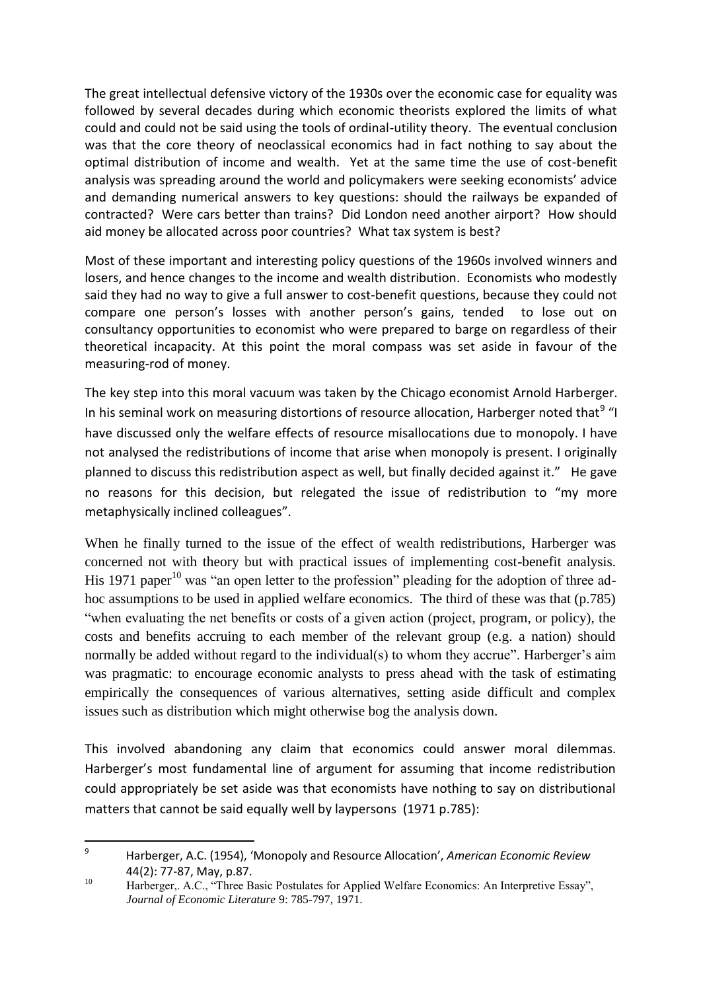The great intellectual defensive victory of the 1930s over the economic case for equality was followed by several decades during which economic theorists explored the limits of what could and could not be said using the tools of ordinal-utility theory. The eventual conclusion was that the core theory of neoclassical economics had in fact nothing to say about the optimal distribution of income and wealth. Yet at the same time the use of cost-benefit analysis was spreading around the world and policymakers were seeking economists' advice and demanding numerical answers to key questions: should the railways be expanded of contracted? Were cars better than trains? Did London need another airport? How should aid money be allocated across poor countries? What tax system is best?

Most of these important and interesting policy questions of the 1960s involved winners and losers, and hence changes to the income and wealth distribution. Economists who modestly said they had no way to give a full answer to cost-benefit questions, because they could not compare one person's losses with another person's gains, tended to lose out on consultancy opportunities to economist who were prepared to barge on regardless of their theoretical incapacity. At this point the moral compass was set aside in favour of the measuring-rod of money.

The key step into this moral vacuum was taken by the Chicago economist Arnold Harberger. In his seminal work on measuring distortions of resource allocation, Harberger noted that<sup>9</sup> "I have discussed only the welfare effects of resource misallocations due to monopoly. I have not analysed the redistributions of income that arise when monopoly is present. I originally planned to discuss this redistribution aspect as well, but finally decided against it." He gave no reasons for this decision, but relegated the issue of redistribution to "my more metaphysically inclined colleagues".

When he finally turned to the issue of the effect of wealth redistributions, Harberger was concerned not with theory but with practical issues of implementing cost-benefit analysis. His 1971 paper<sup>10</sup> was "an open letter to the profession" pleading for the adoption of three adhoc assumptions to be used in applied welfare economics. The third of these was that (p.785) "when evaluating the net benefits or costs of a given action (project, program, or policy), the costs and benefits accruing to each member of the relevant group (e.g. a nation) should normally be added without regard to the individual(s) to whom they accrue". Harberger's aim was pragmatic: to encourage economic analysts to press ahead with the task of estimating empirically the consequences of various alternatives, setting aside difficult and complex issues such as distribution which might otherwise bog the analysis down.

This involved abandoning any claim that economics could answer moral dilemmas. Harberger's most fundamental line of argument for assuming that income redistribution could appropriately be set aside was that economists have nothing to say on distributional matters that cannot be said equally well by laypersons (1971 p.785):

 $\overline{9}$ <sup>9</sup> Harberger, A.C. (1954), 'Monopoly and Resource Allocation', *American Economic Review* 44(2): 77-87, May, p.87.

<sup>&</sup>lt;sup>10</sup> Harberger,. A.C., "Three Basic Postulates for Applied Welfare Economics: An Interpretive Essay", *Journal of Economic Literature* 9: 785-797, 1971.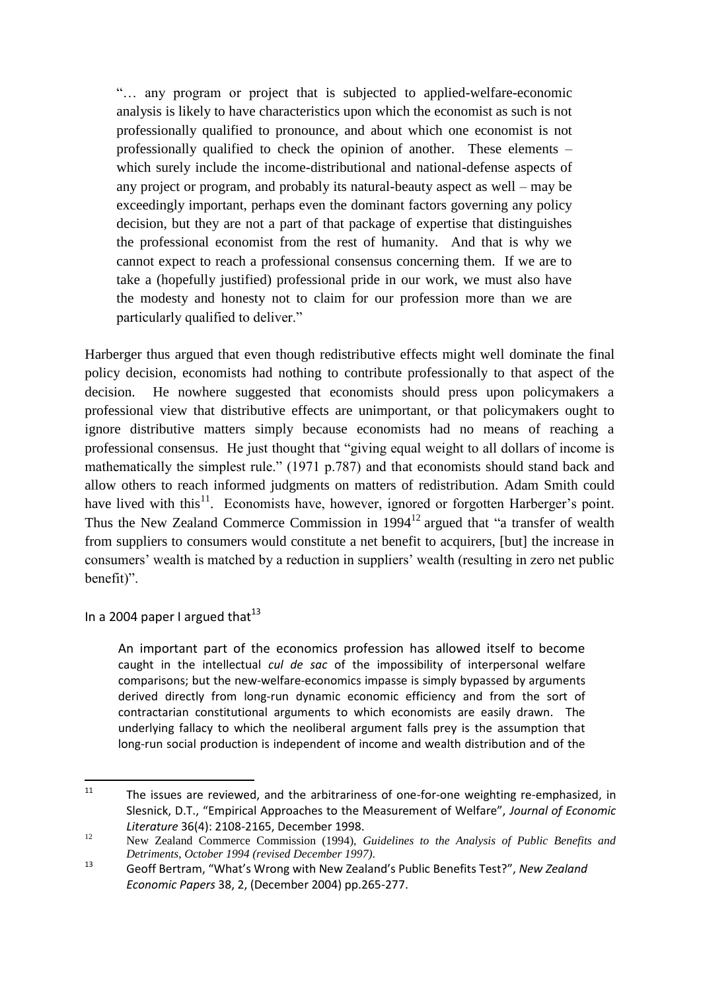"… any program or project that is subjected to applied-welfare-economic analysis is likely to have characteristics upon which the economist as such is not professionally qualified to pronounce, and about which one economist is not professionally qualified to check the opinion of another. These elements – which surely include the income-distributional and national-defense aspects of any project or program, and probably its natural-beauty aspect as well – may be exceedingly important, perhaps even the dominant factors governing any policy decision, but they are not a part of that package of expertise that distinguishes the professional economist from the rest of humanity. And that is why we cannot expect to reach a professional consensus concerning them. If we are to take a (hopefully justified) professional pride in our work, we must also have the modesty and honesty not to claim for our profession more than we are particularly qualified to deliver."

Harberger thus argued that even though redistributive effects might well dominate the final policy decision, economists had nothing to contribute professionally to that aspect of the decision. He nowhere suggested that economists should press upon policymakers a professional view that distributive effects are unimportant, or that policymakers ought to ignore distributive matters simply because economists had no means of reaching a professional consensus. He just thought that "giving equal weight to all dollars of income is mathematically the simplest rule." (1971 p.787) and that economists should stand back and allow others to reach informed judgments on matters of redistribution. Adam Smith could have lived with this $<sup>11</sup>$ . Economists have, however, ignored or forgotten Harberger's point.</sup> Thus the New Zealand Commerce Commission in  $1994<sup>12</sup>$  argued that "a transfer of wealth from suppliers to consumers would constitute a net benefit to acquirers, [but] the increase in consumers' wealth is matched by a reduction in suppliers' wealth (resulting in zero net public benefit)".

In a 2004 paper I argued that  $13$ 

An important part of the economics profession has allowed itself to become caught in the intellectual *cul de sac* of the impossibility of interpersonal welfare comparisons; but the new-welfare-economics impasse is simply bypassed by arguments derived directly from long-run dynamic economic efficiency and from the sort of contractarian constitutional arguments to which economists are easily drawn. The underlying fallacy to which the neoliberal argument falls prey is the assumption that long-run social production is independent of income and wealth distribution and of the

 $11$ <sup>11</sup> The issues are reviewed, and the arbitrariness of one-for-one weighting re-emphasized, in Slesnick, D.T., "Empirical Approaches to the Measurement of Welfare", *Journal of Economic Literature* 36(4): 2108-2165, December 1998.

<sup>12</sup> New Zealand Commerce Commission (1994), *Guidelines to the Analysis of Public Benefits and Detriments*, *October 1994 (revised December 1997)*.

<sup>13</sup> Geoff Bertram, "What's Wrong with New Zealand's Public Benefits Test?", *New Zealand Economic Papers* 38, 2, (December 2004) pp.265-277.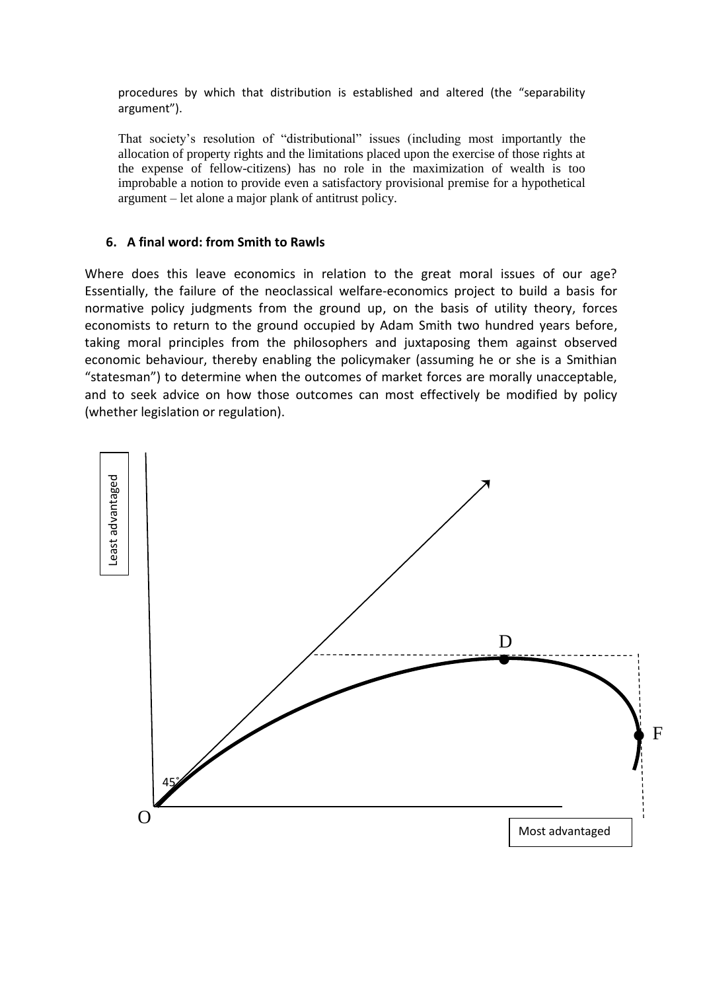procedures by which that distribution is established and altered (the "separability argument").

That society's resolution of "distributional" issues (including most importantly the allocation of property rights and the limitations placed upon the exercise of those rights at the expense of fellow-citizens) has no role in the maximization of wealth is too improbable a notion to provide even a satisfactory provisional premise for a hypothetical argument – let alone a major plank of antitrust policy.

#### **6. A final word: from Smith to Rawls**

Where does this leave economics in relation to the great moral issues of our age? Essentially, the failure of the neoclassical welfare-economics project to build a basis for normative policy judgments from the ground up, on the basis of utility theory, forces economists to return to the ground occupied by Adam Smith two hundred years before, taking moral principles from the philosophers and juxtaposing them against observed economic behaviour, thereby enabling the policymaker (assuming he or she is a Smithian "statesman") to determine when the outcomes of market forces are morally unacceptable, and to seek advice on how those outcomes can most effectively be modified by policy (whether legislation or regulation).